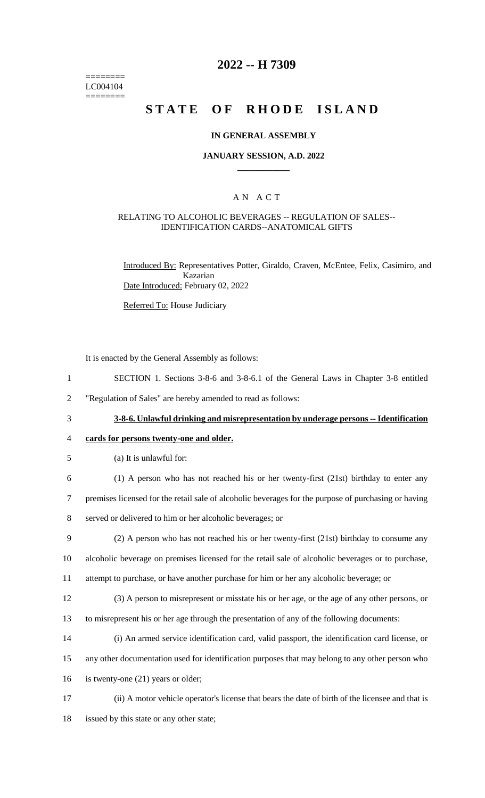======== LC004104 ========

## **2022 -- H 7309**

# **STATE OF RHODE ISLAND**

#### **IN GENERAL ASSEMBLY**

#### **JANUARY SESSION, A.D. 2022 \_\_\_\_\_\_\_\_\_\_\_\_**

### A N A C T

#### RELATING TO ALCOHOLIC BEVERAGES -- REGULATION OF SALES-- IDENTIFICATION CARDS--ANATOMICAL GIFTS

Introduced By: Representatives Potter, Giraldo, Craven, McEntee, Felix, Casimiro, and Kazarian Date Introduced: February 02, 2022

Referred To: House Judiciary

It is enacted by the General Assembly as follows:

- 1 SECTION 1. Sections 3-8-6 and 3-8-6.1 of the General Laws in Chapter 3-8 entitled
- 2 "Regulation of Sales" are hereby amended to read as follows:
	-

3 **3-8-6. Unlawful drinking and misrepresentation by underage persons -- Identification** 

### 4 **cards for persons twenty-one and older.**

5 (a) It is unlawful for:

6 (1) A person who has not reached his or her twenty-first (21st) birthday to enter any

7 premises licensed for the retail sale of alcoholic beverages for the purpose of purchasing or having

- 8 served or delivered to him or her alcoholic beverages; or
- 9 (2) A person who has not reached his or her twenty-first (21st) birthday to consume any
- 10 alcoholic beverage on premises licensed for the retail sale of alcoholic beverages or to purchase,
- 11 attempt to purchase, or have another purchase for him or her any alcoholic beverage; or
- 12 (3) A person to misrepresent or misstate his or her age, or the age of any other persons, or
- 13 to misrepresent his or her age through the presentation of any of the following documents:
- 14 (i) An armed service identification card, valid passport, the identification card license, or
- 15 any other documentation used for identification purposes that may belong to any other person who
- 16 is twenty-one (21) years or older;
- 17 (ii) A motor vehicle operator's license that bears the date of birth of the licensee and that is
- 18 issued by this state or any other state;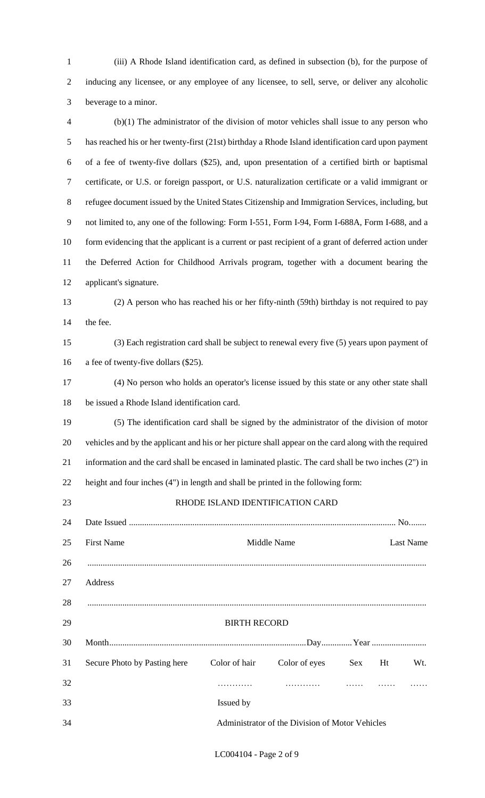- (iii) A Rhode Island identification card, as defined in subsection (b), for the purpose of inducing any licensee, or any employee of any licensee, to sell, serve, or deliver any alcoholic beverage to a minor.
- (b)(1) The administrator of the division of motor vehicles shall issue to any person who has reached his or her twenty-first (21st) birthday a Rhode Island identification card upon payment of a fee of twenty-five dollars (\$25), and, upon presentation of a certified birth or baptismal certificate, or U.S. or foreign passport, or U.S. naturalization certificate or a valid immigrant or refugee document issued by the United States Citizenship and Immigration Services, including, but not limited to, any one of the following: Form I-551, Form I-94, Form I-688A, Form I-688, and a 10 form evidencing that the applicant is a current or past recipient of a grant of deferred action under the Deferred Action for Childhood Arrivals program, together with a document bearing the applicant's signature. (2) A person who has reached his or her fifty-ninth (59th) birthday is not required to pay the fee. (3) Each registration card shall be subject to renewal every five (5) years upon payment of

16 a fee of twenty-five dollars (\$25).

 (4) No person who holds an operator's license issued by this state or any other state shall be issued a Rhode Island identification card.

 (5) The identification card shall be signed by the administrator of the division of motor vehicles and by the applicant and his or her picture shall appear on the card along with the required information and the card shall be encased in laminated plastic. The card shall be two inches (2") in height and four inches (4") in length and shall be printed in the following form:

RHODE ISLAND IDENTIFICATION CARD

| 24 |                                                 |                     |               |            |    |           |
|----|-------------------------------------------------|---------------------|---------------|------------|----|-----------|
| 25 | <b>First Name</b>                               |                     | Middle Name   |            |    | Last Name |
| 26 |                                                 |                     |               |            |    |           |
| 27 | Address                                         |                     |               |            |    |           |
| 28 |                                                 |                     |               |            |    |           |
| 29 |                                                 | <b>BIRTH RECORD</b> |               |            |    |           |
| 30 |                                                 |                     |               |            |    |           |
| 31 | Secure Photo by Pasting here                    | Color of hair       | Color of eyes | <b>Sex</b> | Ht | Wt.       |
| 32 |                                                 |                     |               |            |    |           |
| 33 |                                                 | Issued by           |               |            |    |           |
| 34 | Administrator of the Division of Motor Vehicles |                     |               |            |    |           |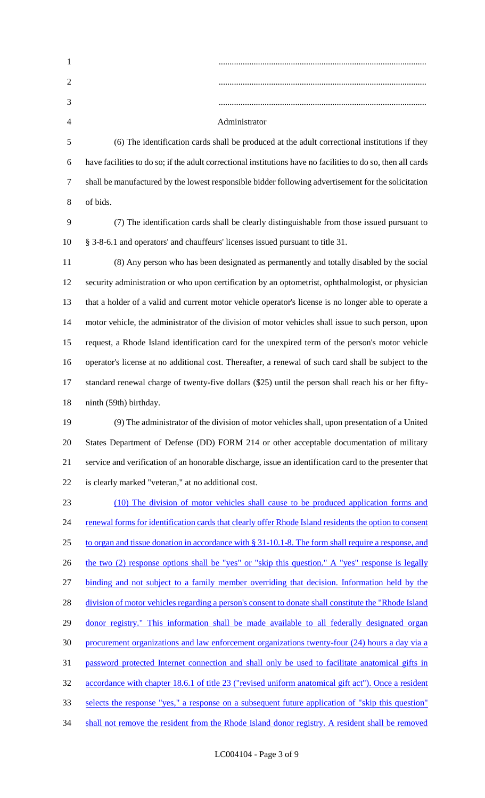| $\mathbf{1}$   |                                                                                                              |
|----------------|--------------------------------------------------------------------------------------------------------------|
| $\overline{2}$ |                                                                                                              |
| 3              |                                                                                                              |
| $\overline{4}$ | Administrator                                                                                                |
| 5              | (6) The identification cards shall be produced at the adult correctional institutions if they                |
| 6              | have facilities to do so; if the adult correctional institutions have no facilities to do so, then all cards |
| $\tau$         | shall be manufactured by the lowest responsible bidder following advertisement for the solicitation          |
| 8              | of bids.                                                                                                     |
| 9              | (7) The identification cards shall be clearly distinguishable from those issued pursuant to                  |
| 10             | § 3-8-6.1 and operators' and chauffeurs' licenses issued pursuant to title 31.                               |
| 11             | (8) Any person who has been designated as permanently and totally disabled by the social                     |
| 12             | security administration or who upon certification by an optometrist, ophthalmologist, or physician           |
| 13             | that a holder of a valid and current motor vehicle operator's license is no longer able to operate a         |
| 14             | motor vehicle, the administrator of the division of motor vehicles shall issue to such person, upon          |
| 15             | request, a Rhode Island identification card for the unexpired term of the person's motor vehicle             |
| 16             | operator's license at no additional cost. Thereafter, a renewal of such card shall be subject to the         |
| 17             | standard renewal charge of twenty-five dollars (\$25) until the person shall reach his or her fifty-         |
| 18             | ninth (59th) birthday.                                                                                       |
| 19             | (9) The administrator of the division of motor vehicles shall, upon presentation of a United                 |
| 20             | States Department of Defense (DD) FORM 214 or other acceptable documentation of military                     |
| 21             | service and verification of an honorable discharge, issue an identification card to the presenter that       |
| 22             | is clearly marked "veteran," at no additional cost.                                                          |
| 23             | (10) The division of motor vehicles shall cause to be produced application forms and                         |
| 24             | renewal forms for identification cards that clearly offer Rhode Island residents the option to consent       |
| 25             | to organ and tissue donation in accordance with $\S 31-10.1-8$ . The form shall require a response, and      |
| 26             | the two (2) response options shall be "yes" or "skip this question." A "yes" response is legally             |
| 27             | binding and not subject to a family member overriding that decision. Information held by the                 |
| 28             | division of motor vehicles regarding a person's consent to donate shall constitute the "Rhode Island         |
| 29             | donor registry." This information shall be made available to all federally designated organ                  |
| 30             | procurement organizations and law enforcement organizations twenty-four (24) hours a day via a               |
| 31             | password protected Internet connection and shall only be used to facilitate anatomical gifts in              |
| 32             | accordance with chapter 18.6.1 of title 23 ("revised uniform anatomical gift act"). Once a resident          |
| 33             | selects the response "yes," a response on a subsequent future application of "skip this question"            |
| 34             | shall not remove the resident from the Rhode Island donor registry. A resident shall be removed              |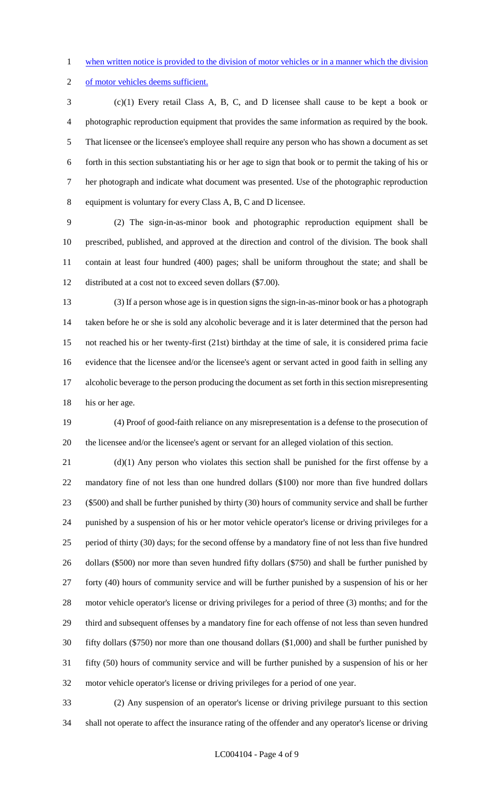- when written notice is provided to the division of motor vehicles or in a manner which the division
- of motor vehicles deems sufficient.

 (c)(1) Every retail Class A, B, C, and D licensee shall cause to be kept a book or photographic reproduction equipment that provides the same information as required by the book. That licensee or the licensee's employee shall require any person who has shown a document as set forth in this section substantiating his or her age to sign that book or to permit the taking of his or her photograph and indicate what document was presented. Use of the photographic reproduction equipment is voluntary for every Class A, B, C and D licensee.

 (2) The sign-in-as-minor book and photographic reproduction equipment shall be prescribed, published, and approved at the direction and control of the division. The book shall contain at least four hundred (400) pages; shall be uniform throughout the state; and shall be distributed at a cost not to exceed seven dollars (\$7.00).

 (3) If a person whose age is in question signs the sign-in-as-minor book or has a photograph taken before he or she is sold any alcoholic beverage and it is later determined that the person had not reached his or her twenty-first (21st) birthday at the time of sale, it is considered prima facie evidence that the licensee and/or the licensee's agent or servant acted in good faith in selling any alcoholic beverage to the person producing the document as set forth in this section misrepresenting 18 his or her age.

 (4) Proof of good-faith reliance on any misrepresentation is a defense to the prosecution of the licensee and/or the licensee's agent or servant for an alleged violation of this section.

 (d)(1) Any person who violates this section shall be punished for the first offense by a mandatory fine of not less than one hundred dollars (\$100) nor more than five hundred dollars (\$500) and shall be further punished by thirty (30) hours of community service and shall be further punished by a suspension of his or her motor vehicle operator's license or driving privileges for a period of thirty (30) days; for the second offense by a mandatory fine of not less than five hundred dollars (\$500) nor more than seven hundred fifty dollars (\$750) and shall be further punished by forty (40) hours of community service and will be further punished by a suspension of his or her motor vehicle operator's license or driving privileges for a period of three (3) months; and for the third and subsequent offenses by a mandatory fine for each offense of not less than seven hundred fifty dollars (\$750) nor more than one thousand dollars (\$1,000) and shall be further punished by fifty (50) hours of community service and will be further punished by a suspension of his or her motor vehicle operator's license or driving privileges for a period of one year.

 (2) Any suspension of an operator's license or driving privilege pursuant to this section shall not operate to affect the insurance rating of the offender and any operator's license or driving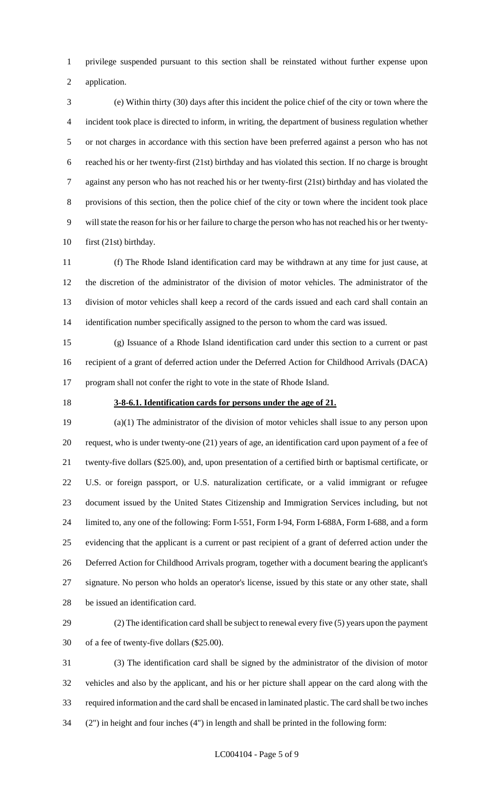privilege suspended pursuant to this section shall be reinstated without further expense upon

application.

 (e) Within thirty (30) days after this incident the police chief of the city or town where the incident took place is directed to inform, in writing, the department of business regulation whether or not charges in accordance with this section have been preferred against a person who has not reached his or her twenty-first (21st) birthday and has violated this section. If no charge is brought against any person who has not reached his or her twenty-first (21st) birthday and has violated the provisions of this section, then the police chief of the city or town where the incident took place will state the reason for his or her failure to charge the person who has not reached his or her twenty-first (21st) birthday.

 (f) The Rhode Island identification card may be withdrawn at any time for just cause, at the discretion of the administrator of the division of motor vehicles. The administrator of the division of motor vehicles shall keep a record of the cards issued and each card shall contain an identification number specifically assigned to the person to whom the card was issued.

 (g) Issuance of a Rhode Island identification card under this section to a current or past recipient of a grant of deferred action under the Deferred Action for Childhood Arrivals (DACA) program shall not confer the right to vote in the state of Rhode Island.

#### **3-8-6.1. Identification cards for persons under the age of 21.**

 (a)(1) The administrator of the division of motor vehicles shall issue to any person upon request, who is under twenty-one (21) years of age, an identification card upon payment of a fee of twenty-five dollars (\$25.00), and, upon presentation of a certified birth or baptismal certificate, or U.S. or foreign passport, or U.S. naturalization certificate, or a valid immigrant or refugee document issued by the United States Citizenship and Immigration Services including, but not limited to, any one of the following: Form I-551, Form I-94, Form I-688A, Form I-688, and a form evidencing that the applicant is a current or past recipient of a grant of deferred action under the Deferred Action for Childhood Arrivals program, together with a document bearing the applicant's signature. No person who holds an operator's license, issued by this state or any other state, shall be issued an identification card.

 (2) The identification card shall be subject to renewal every five (5) years upon the payment of a fee of twenty-five dollars (\$25.00).

 (3) The identification card shall be signed by the administrator of the division of motor vehicles and also by the applicant, and his or her picture shall appear on the card along with the required information and the card shall be encased in laminated plastic. The card shall be two inches (2") in height and four inches (4") in length and shall be printed in the following form: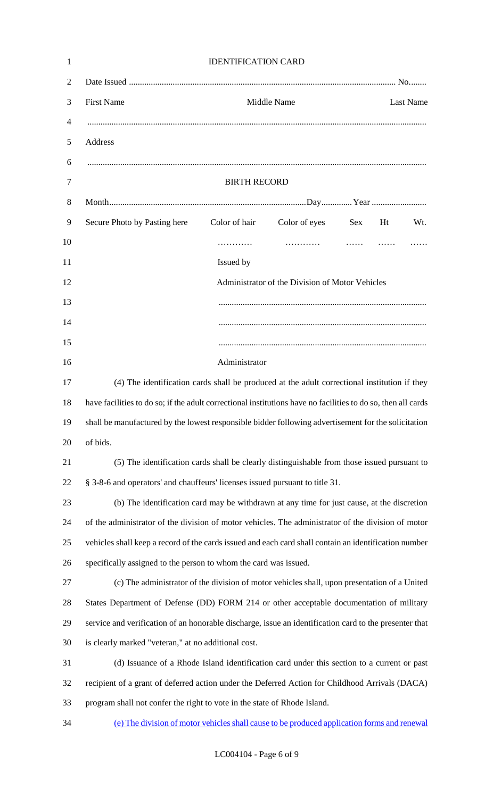| 1              | <b>IDENTIFICATION CARD</b>                                                                                   |
|----------------|--------------------------------------------------------------------------------------------------------------|
| 2              |                                                                                                              |
| 3              | <b>First Name</b><br>Middle Name<br><b>Last Name</b>                                                         |
| 4              |                                                                                                              |
| 5              | Address                                                                                                      |
| 6              |                                                                                                              |
| $\overline{7}$ | <b>BIRTH RECORD</b>                                                                                          |
| 8              |                                                                                                              |
| 9              | Color of hair<br>Color of eyes<br>Secure Photo by Pasting here<br>Sex<br>Ht<br>Wt.                           |
| 10             |                                                                                                              |
| 11             | Issued by                                                                                                    |
| 12             | Administrator of the Division of Motor Vehicles                                                              |
| 13             |                                                                                                              |
| 14             |                                                                                                              |
| 15             |                                                                                                              |
| 16             | Administrator                                                                                                |
| 17             | (4) The identification cards shall be produced at the adult correctional institution if they                 |
| 18             | have facilities to do so; if the adult correctional institutions have no facilities to do so, then all cards |
| 19             | shall be manufactured by the lowest responsible bidder following advertisement for the solicitation          |
| 20             | of bids.                                                                                                     |
| 21             | (5) The identification cards shall be clearly distinguishable from those issued pursuant to                  |
| 22             | § 3-8-6 and operators' and chauffeurs' licenses issued pursuant to title 31.                                 |
| 23             | (b) The identification card may be withdrawn at any time for just cause, at the discretion                   |
| 24             | of the administrator of the division of motor vehicles. The administrator of the division of motor           |
| 25             | vehicles shall keep a record of the cards issued and each card shall contain an identification number        |
| 26             | specifically assigned to the person to whom the card was issued.                                             |
| 27             | (c) The administrator of the division of motor vehicles shall, upon presentation of a United                 |
| 28             | States Department of Defense (DD) FORM 214 or other acceptable documentation of military                     |
| 29             | service and verification of an honorable discharge, issue an identification card to the presenter that       |
| 30             | is clearly marked "veteran," at no additional cost.                                                          |
| 31             | (d) Issuance of a Rhode Island identification card under this section to a current or past                   |
| 32             | recipient of a grant of deferred action under the Deferred Action for Childhood Arrivals (DACA)              |
| 33             | program shall not confer the right to vote in the state of Rhode Island.                                     |
| 34             | (e) The division of motor vehicles shall cause to be produced application forms and renewal                  |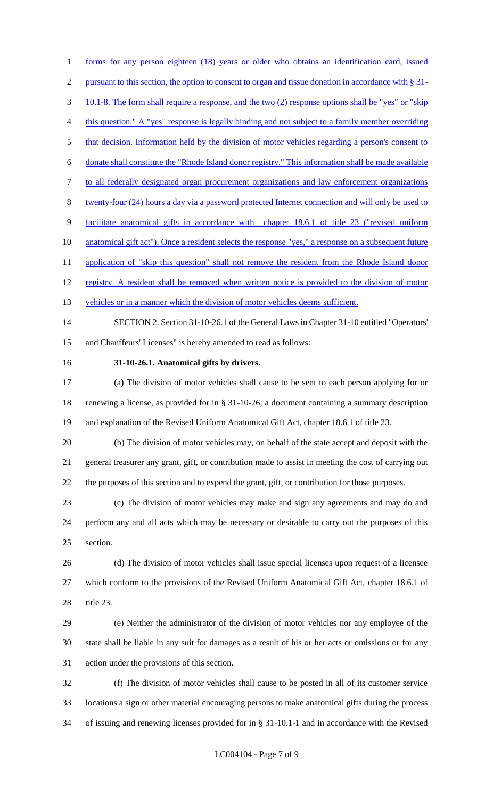1 forms for any person eighteen (18) years or older who obtains an identification card, issued 2 pursuant to this section, the option to consent to organ and tissue donation in accordance with § 31- 10.1-8. The form shall require a response, and the two (2) response options shall be "yes" or "skip this question." A "yes" response is legally binding and not subject to a family member overriding 5 that decision. Information held by the division of motor vehicles regarding a person's consent to donate shall constitute the "Rhode Island donor registry." This information shall be made available to all federally designated organ procurement organizations and law enforcement organizations twenty-four (24) hours a day via a password protected Internet connection and will only be used to facilitate anatomical gifts in accordance with chapter 18.6.1 of title 23 ("revised uniform 10 anatomical gift act"). Once a resident selects the response "yes," a response on a subsequent future 11 application of "skip this question" shall not remove the resident from the Rhode Island donor 12 registry. A resident shall be removed when written notice is provided to the division of motor 13 vehicles or in a manner which the division of motor vehicles deems sufficient.

 SECTION 2. Section 31-10-26.1 of the General Laws in Chapter 31-10 entitled "Operators' and Chauffeurs' Licenses" is hereby amended to read as follows:

#### **31-10-26.1. Anatomical gifts by drivers.**

 (a) The division of motor vehicles shall cause to be sent to each person applying for or renewing a license, as provided for in § 31-10-26, a document containing a summary description and explanation of the Revised Uniform Anatomical Gift Act, chapter 18.6.1 of title 23.

 (b) The division of motor vehicles may, on behalf of the state accept and deposit with the general treasurer any grant, gift, or contribution made to assist in meeting the cost of carrying out the purposes of this section and to expend the grant, gift, or contribution for those purposes.

 (c) The division of motor vehicles may make and sign any agreements and may do and perform any and all acts which may be necessary or desirable to carry out the purposes of this section.

 (d) The division of motor vehicles shall issue special licenses upon request of a licensee which conform to the provisions of the Revised Uniform Anatomical Gift Act, chapter 18.6.1 of title 23.

 (e) Neither the administrator of the division of motor vehicles nor any employee of the state shall be liable in any suit for damages as a result of his or her acts or omissions or for any action under the provisions of this section.

 (f) The division of motor vehicles shall cause to be posted in all of its customer service locations a sign or other material encouraging persons to make anatomical gifts during the process of issuing and renewing licenses provided for in § 31-10.1-1 and in accordance with the Revised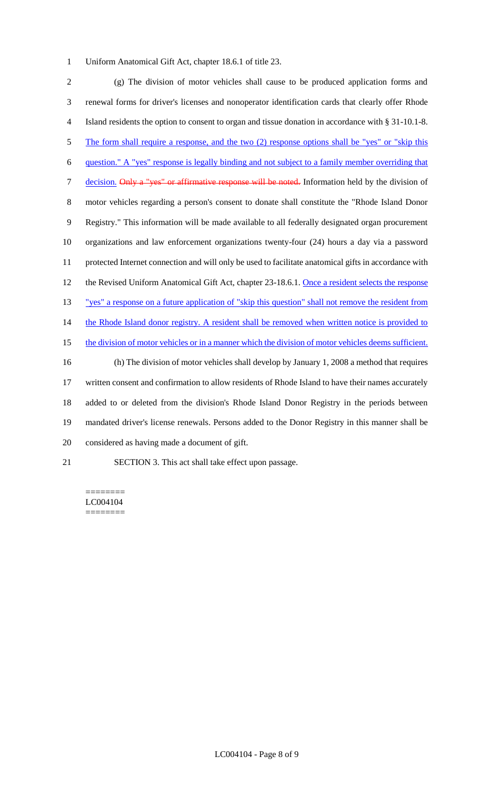Uniform Anatomical Gift Act, chapter 18.6.1 of title 23.

 (g) The division of motor vehicles shall cause to be produced application forms and renewal forms for driver's licenses and nonoperator identification cards that clearly offer Rhode Island residents the option to consent to organ and tissue donation in accordance with § 31-10.1-8. 5 The form shall require a response, and the two (2) response options shall be "yes" or "skip this question." A "yes" response is legally binding and not subject to a family member overriding that 7 decision. Only a "yes" or affirmative response will be noted. Information held by the division of motor vehicles regarding a person's consent to donate shall constitute the "Rhode Island Donor Registry." This information will be made available to all federally designated organ procurement organizations and law enforcement organizations twenty-four (24) hours a day via a password protected Internet connection and will only be used to facilitate anatomical gifts in accordance with 12 the Revised Uniform Anatomical Gift Act, chapter 23-18.6.1. Once a resident selects the response "yes" a response on a future application of "skip this question" shall not remove the resident from 14 the Rhode Island donor registry. A resident shall be removed when written notice is provided to 15 the division of motor vehicles or in a manner which the division of motor vehicles deems sufficient. (h) The division of motor vehicles shall develop by January 1, 2008 a method that requires written consent and confirmation to allow residents of Rhode Island to have their names accurately added to or deleted from the division's Rhode Island Donor Registry in the periods between mandated driver's license renewals. Persons added to the Donor Registry in this manner shall be considered as having made a document of gift. SECTION 3. This act shall take effect upon passage.

#### ======== LC004104 ========